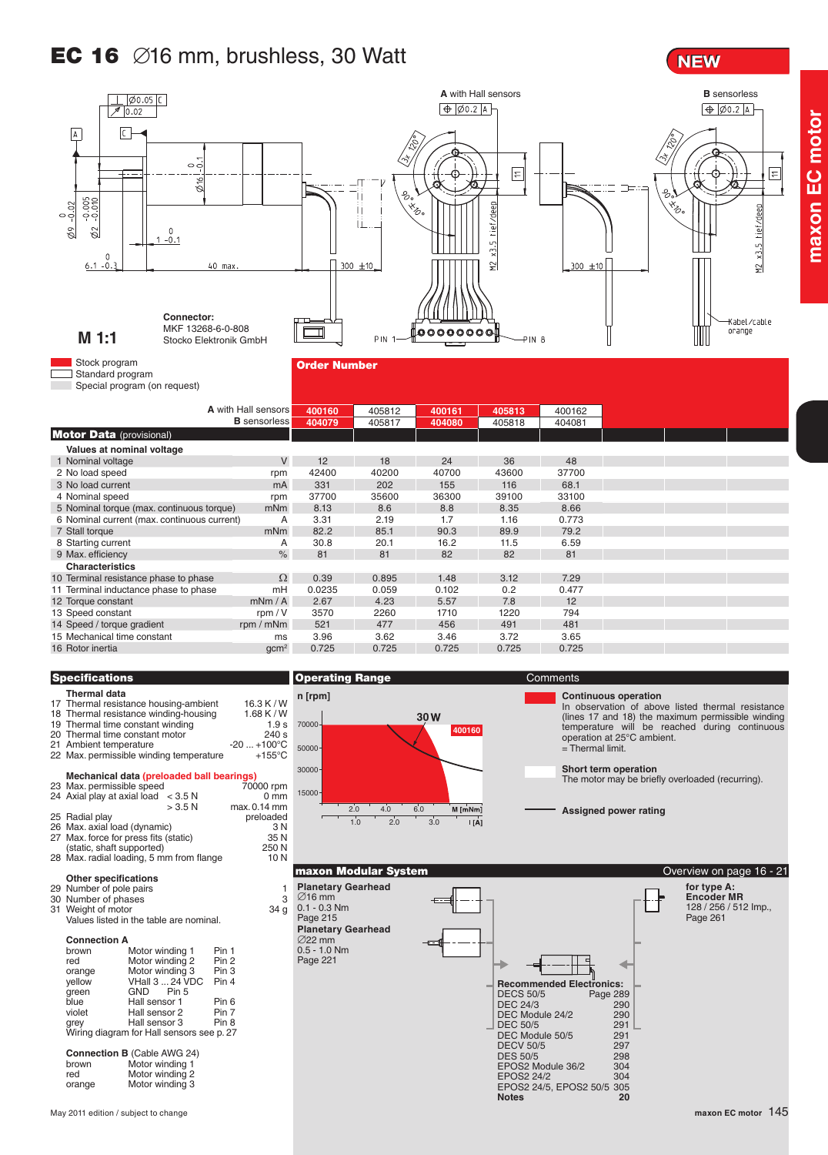# **EC 16**  $\varnothing$ 16 mm, brushless, 30 Watt

### **NEW**

**maxon EC motor**



#### **Thermal data** Thermal resistance housing-ambient 16.3 K / W<br>Thermal resistance winding-housing 1.68 K / W 18 Thermal resistance winding-housing 1.68 K / W<br>19 Thermal time constant winding 1.9 s Thermal time constant winding 1.9 s<br>Thermal time constant motor 240 s 20 Thermal time constant motor 240 s<br>21 Ambient temperature 20 ... +100 °C Ambient temperature -20 ... +100°C<br>Max. permissible winding temperature +155°C 22 Max. permissible winding temperature **Mechanical data (preloaded ball bearings)**<br>23 Max. permissible speed 70000 rpm 24 Axial play at axial load  $\leq$  3.5 N 0 mm<br> $>$  3.5 N max 0.14 mm  $max 0.14$  mm 25 Radial play<br>
26 Max. axial load (dynamic) entity and the set of the SN SN 26 Max. axial load (dynamic) 3 N<br>27 Max. force for press fits (static) 35 N Max. force for press fits (static) 35 N<br>
(static, shaft supported) 250 N (static, shaft supported) 250 N<br>
Max. radial loading, 5 mm from flange 10 N 28 Max. radial loading, 5 mm from flange **Other specifications** 29 Number of pole pairs 1<br>30 Number of phases 3 30 Number of phases 31 Weight of motor 34 g Weight of motor Values listed in the table are nominal. **Connection A** brown Motor winding 1 Pin 1<br>red Motor winding 2 Pin 2 Motor winding 2 Pin 2<br>Motor winding 3 Pin 3 orange Motor winding 3 Pin 3 yellow VHall 3 ... 24 VDC Pin 4 green GND Pin 5 blue Hall sensor 1 Pin 6<br>violet Hall sensor 2 Pin 7 Hall sensor 2 grey Hall sensor 3 Pin 8 Wiring diagram for Hall sensors see p. 27

| <b>Connection B (Cable AWG 24)</b> |                 |
|------------------------------------|-----------------|
| brown                              | Motor winding 1 |
| red                                | Motor winding 2 |
| orange                             | Motor winding 3 |



∅16 mm 0.1 - 0.3 Nm Page 215

∅22 mm  $0.5 - 1.0$  Nm Page 221

In observation of above listed thermal resistance (lines 17 and 18) the maximum permissible winding temperature will be reached during continuous operation at 25°C ambient. = Thermal limit.

**Short term operation**

The motor may be briefly overloaded (recurring).

**Assigned power rating**

#### **maxon Modular System Community of the Community Community Community Community Community Community Community Community Community Community Community Community Community Community Community Community Community Community Com Planetary Gearhead Recommended Electronics:**<br>DECS 50/5 Page 289 DECS 50/5 Page 289<br>DEC 24/3 290 DEC 24/3 290 DEC Module 24/2 290 DEC Modale 2 1/2<br>DEC 50/5 291<br>DEC Module 50/5 291 DEC Module 50/5 291 DECV 50/5 297<br>DES 50/5 298 DES 50/5<br>DES 50/5 298<br>EPOS2 Module 36/2 304 EPOS2 Module 36/2 304 EPOS2 24/2 304 EPOS2 24/5, EPOS2 50/5 305 **for type A: Encoder MR** 128 / 256 / 512 Imp., Page 261 **Planetary Gearhead**

**Notes 20**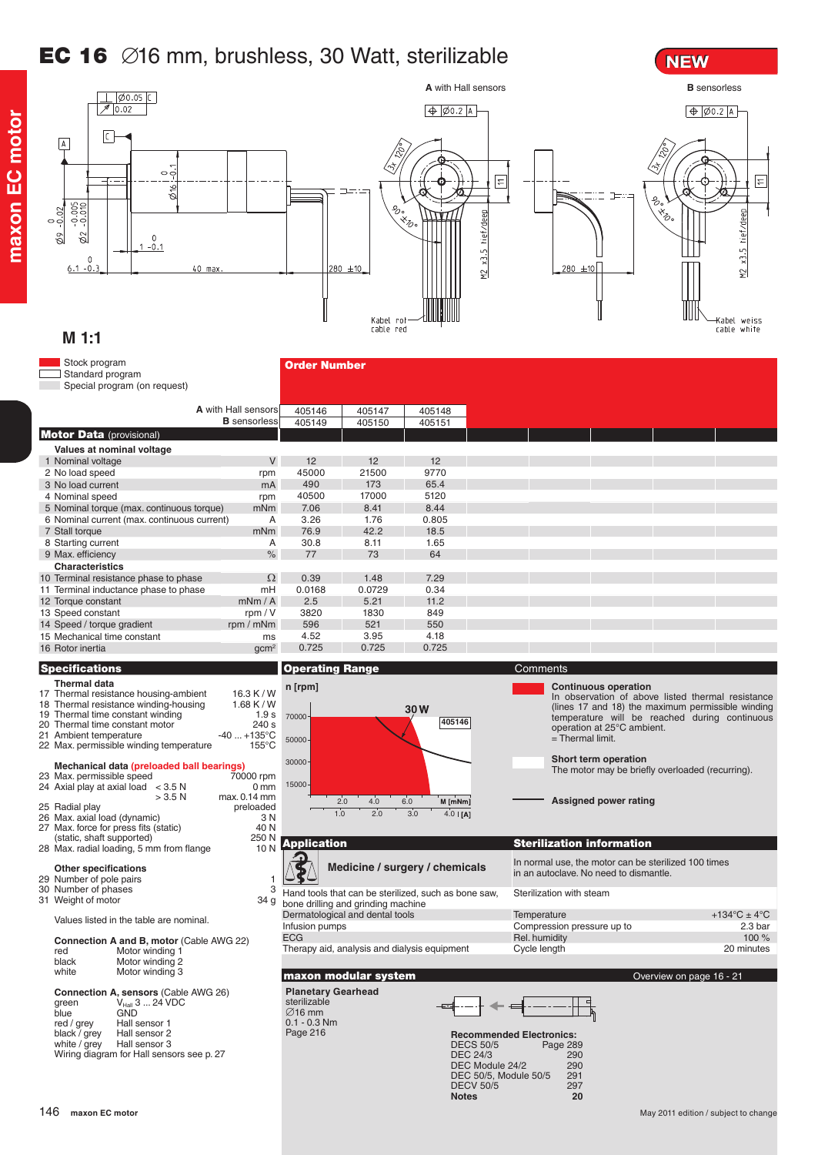## EC 16 ∅16 mm, brushless, 30 Watt, sterilizable



#### Stock program Order Number Standard program Special program (on request) **A** with Hall sensors 405146 405147 405148 **B** sensorless 405149 405150 405151 **Motor Data** (provisional) **Values at nominal voltage** 1 Nominal voltage V 12 12 12<br>45000 21500 9770 2 No load speed rpm 45000 21500 9770 3 No load current 173<br>17000 4 Nominal speed rpm<br>5 Nominal torque (max. continuous torque) mNm 40500 17000 5120 5 Nominal torque (max. continuous torque) 7.06 8.41<br>3.26 1.76 6 Nominal current (max. continuous current) A 3.26 1.76 0.805 7 Stall torque 42.2 8 Starting current A<br>9 Max efficiency and a starting of the A<br>9 Max efficiency 30.8 8.11 1.65 9 Max. efficiency 77 73 64 **Characteristics** 10 Terminal resistance phase to phase  $\Omega$ 0.39 1.48 7.29<br>0.0168 0.0729 0.34 11 Terminal inductance phase to phase mH<br>12 Torque constant mNm / A 0.0168 0.0729 0.34 12 Torque constant mNm / A<br>13 Speed constant mNm / V 2.5 5.21 11.2<br>3820 1830 849 13 Speed constant rpm / V<br>14 Speed / torque gradient rpm / mNm 3820 1830 849 14 Speed / torque gradient 596 521<br>4.52 3.95 15 Mechanical time constant metals and the constant<br>
16 Rotor inertia gcm<sup>2</sup> 4.52 3.95 4.18 16 Rotor inertia 0.725 **Specifications Comments Comments Operating Range Comments** Comments **Thermal data n [rpm] Continuous operation** 17 Thermal resistance housing-ambient 16.3 K / W<br>18 Thermal resistance winding-housing 1.68 K / W In observation of above listed thermal resistance 18 Thermal resistance winding-housing 1.68 K/W<br>19 Thermal time constant winding 1.68 K/W (lines 17 and 18) the maximum permissible winding **<sup>30</sup>** <sup>70000</sup> 19 Thermal time constant winding 1.9 s<br>
20 Thermal time constant motor 240 s temperature will be reached during continuous operation at 25°C ambient. **405146** 20 Thermal time constant motor 240 s<br>
21 Ambient temperature 240 ... +135°C 21 Ambient temperature -40 ... +135°C<br>Max. permissible winding temperature -155°C = Thermal limit. 50000 22 Max. permissible winding temperature **Short term operation** 30000 **Mechanical data (preloaded ball bearings)**<br>23 Max. permissible speed 70000 rpm The motor may be briefly overloaded (recurring). 24 Axial play at axial load contract and the contract of the contract of the contract of the Axial play at axial load  $>$  3.5 N cm  $>$  3.5 N cm  $>$  24 Axial play at axial load  $>$  3.5 N cm  $>$  3.5 N cm  $>$  3.5 N cm  $>$  2.1 15000 max. 0.14 mm<br>preloaded 2.0 4.0 6.0  $M$  [mNm] **Assigned power rating** 25 Radial play preloaded 26 Max. axial load (dynamic) 3 N  $1.0$  $2.0 \t30 \t4.0 \t1A1$ 27 Max. force for press fits (static) 40 N<br>
(static shaft supported) 250 N (static, shaft supported) (static, shaft supported) (150 M<br>Max. radial loading. 5 mm from flange 10 M Application Sterilization information 28 Max. radial loading, 5 mm from flange ∕ **Medicine / surgery / chemicals** In normal use, the motor can be sterilized 100 times **Other specifications** in an autoclave. No need to dismantle. 29 Number of pole pairs 1<br>30 Number of pole pairs 1<br>30 Number of phases 3 30 Number of phases 31 Weight of motor 34 g Hand tools that can be sterilized, such as bone saw, Sterilization with steam Weight of motor bone drilling and grinding machine Dermatological and dental tools Temperature  $+134^{\circ}$ C  $\pm 4^{\circ}$ C Values listed in the table are nominal. Infusion pumps Compression pressure up to 2.3 bar ECG Rel. humidity **Rel. humidity** 100 % 100 % **Connection A and B, motor** (Cable AWG 22)<br>red Motor winding 1 Therapy aid, analysis and dialysis equipment Cycle length 20 minutes red Motor winding 1<br>hlack Motor winding 2 black Motor winding 2<br>white Motor winding 3 Motor winding 3 **maxon modular system Overview on page 16 - 21 Overview on page 16 - 21 Planetary Gearhead Connection A, sensors** (Cable AWG 26)<br>green V<sub>Hall</sub> 3 ... 24 VDC<br>blue GND sterilizable ∅16 mm red / grey Hall sensor 1<br>hlack / grey Hall sensor 2 0.1 - 0.3 Nm black / grey<br>white / grey Page 216 **Recommended Electronics:**<br>DECS 50/5 **Page 28** Page 289<br>290

DEC 24/3 290 DEC Module 24/2 290 DEC 50/5, Module 50/5 291 DECV 50/5 297

**Notes 20**

**maxon EC motor**

naxon EC motor

**NEW**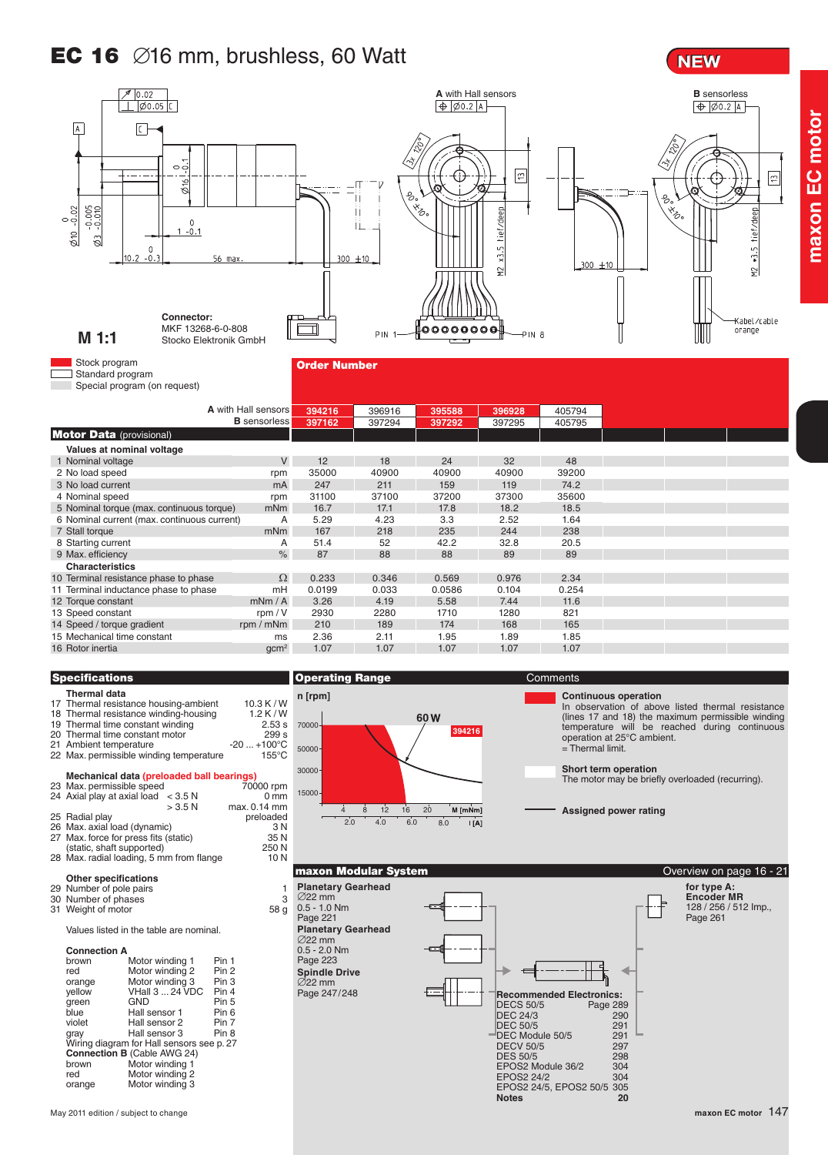## **EC 16**  $\varnothing$ 16 mm, brushless, 60 Watt

**NEW** 

**maxon EC motor**

maxon EC motor



#### **Thermal data** Thermal resistance housing-ambient 10.3 K / W<br>Thermal resistance winding-housing 1.2 K / W 18 Thermal resistance winding-housing 1.2 K / W<br>19 Thermal time constant winding 2.53 s Thermal time constant winding 2.53 s<br>Thermal time constant motor 299 s 20 Thermal time constant motor 299 s<br>21 Ambient temperature 20 ... +100 °C Ambient temperature -20 ... +100°C<br>Max. permissible winding temperature 155°C 22 Max. permissible winding temperature **Mechanical data (preloaded ball bearings)**<br>23 Max. permissible speed 70000 rpm 24 Axial play at axial load  $\leq$  3.5 N 0 mm<br> $>$  3.5 N max 0.14 mm max. 0.14 mm<br>preloaded 25 Radial play<br>
26 Max. axial load (dynamic) entity and the set of the Sandal Carolina and Sandal Carolina and Sandal Carolin 26 Max. axial load (dynamic) 3 N<br>27 Max. force for press fits (static) 35 N Max. force for press fits (static) 35 N<br>
(static, shaft supported) 250 N (static, shaft supported)  $250 \text{ N}$ <br>Max. radial loading. 5 mm from flange 10 N 28 Max. radial loading, 5 mm from flange **Other specifications** 29 Number of pole pairs 1<br>30 Number of phases 3 30 Number of phases 31 Weight of motor 58 g 31 Weight of motor Values listed in the table are nominal. **Connection A** Motor winding 1 Pin 1<br>Motor winding 2 Pin 2 red Motor winding 2 Pin 2<br>orange Motor winding 3 Pin 3 orange Motor winding 3 Pin 3<br>yellow VHall 3 ... 24 VDC Pin 4 VHall  $3 \dots 24$  VDC Pin  $4$ <br>GND Pin 5 green GND Pin 5<br>blue Hall sensor 1 Pin 6 blue Hall sensor 1 Pin 6<br>violet Hall sensor 2 Pin 7 Violet Hall sensor 2 Pin 7<br>
Hall sensor 3 Pin 8 gray Hall sensor 3 Pin 8 Wiring diagram for Hall sensors see p. 27 **Connection B** (Cable AWG 24) brown Motor winding 1<br>red Motor winding 2 red Motor winding 2<br>orange Motor winding 3 Motor winding 3



∅22 mm 0.5 - 1.0 Nm Page 221

∅22 mm

∅22 mm  $0.5 - 2.0$  Nm Page 223

In observation of above listed thermal resistance (lines 17 and 18) the maximum permissible winding temperature will be reached during continuous operation at 25°C ambient. = Thermal limit.

**Short term operation**

The motor may be briefly overloaded (recurring).

**Assigned power rating**

**maxon Modular System Community of the Community Community Community Community Community Community Community Community Community Community Community Community Community Community Community Community Community Community Com Planetary Gearhead for type A: Encoder MR** 128 / 256 / 512 Imp., Page 261 **Planetary Gearhead Spindle Drive**  $\epsilon$ Page 247/248 **Recommended Electronics:**<br>DECS 50/5 Page 289 DECS 50/5 Page 289<br>DEC 24/3 290 DEC 24/3 290 DEC 50/5 291<br>DEC Module 50/5 291 DEC Module 50/5<br>DECV 50/5 297 DECV 50/5 297<br>DES 50/5 298 DES 50/5 298<br>EPOS2 Module 36/2 304 EPOS2 Module 36/2 304<br>EPOS2 24/2 304 EPOS2 24/2 EPOS2 24/5, EPOS2 50/5 305

**Notes 20**